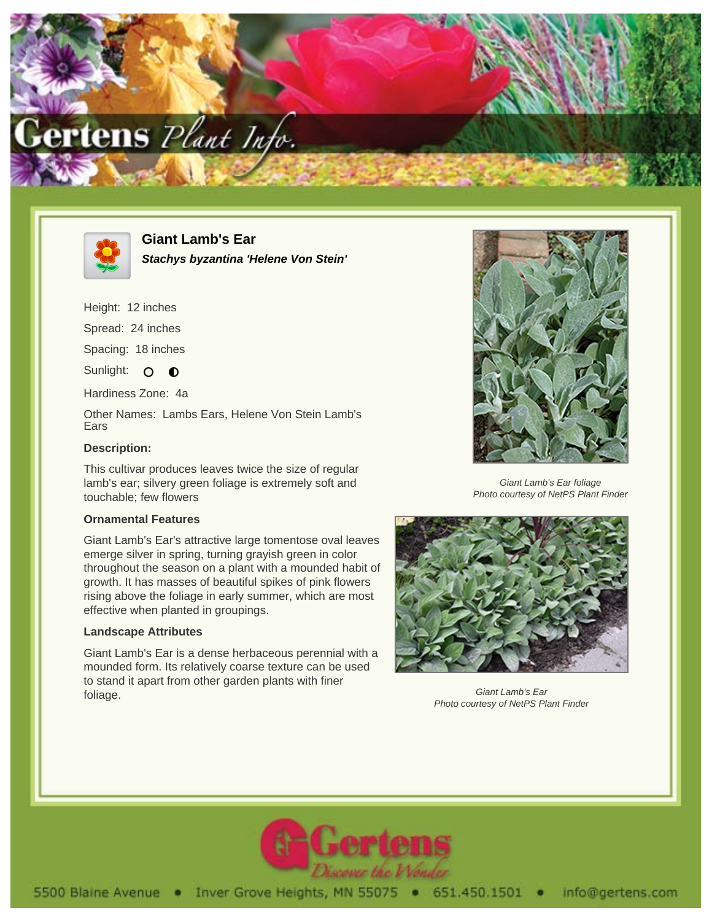



**Giant Lamb's Ear Stachys byzantina 'Helene Von Stein'**

Height: 12 inches

Spread: 24 inches

Spacing: 18 inches

Sunlight: O **O** 

Hardiness Zone: 4a

Other Names: Lambs Ears, Helene Von Stein Lamb's Ears

## **Description:**

This cultivar produces leaves twice the size of regular lamb's ear; silvery green foliage is extremely soft and touchable; few flowers

## **Ornamental Features**

Giant Lamb's Ear's attractive large tomentose oval leaves emerge silver in spring, turning grayish green in color throughout the season on a plant with a mounded habit of growth. It has masses of beautiful spikes of pink flowers rising above the foliage in early summer, which are most effective when planted in groupings.

## **Landscape Attributes**

Giant Lamb's Ear is a dense herbaceous perennial with a mounded form. Its relatively coarse texture can be used to stand it apart from other garden plants with finer foliage.



Giant Lamb's Ear foliage Photo courtesy of NetPS Plant Finder



Giant Lamb's Ear Photo courtesy of NetPS Plant Finder